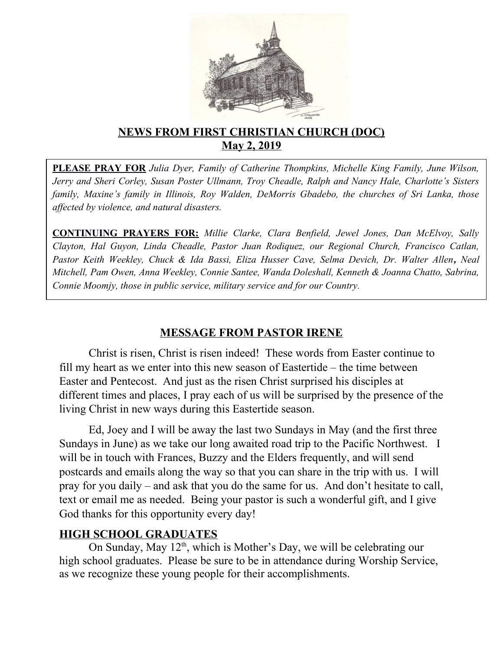

## **NEWS FROM FIRST CHRISTIAN CHURCH (DOC) May 2, 2019**

**PLEASE PRAY FOR** *Julia Dyer, Family of Catherine Thompkins, Michelle King Family, June Wilson, Jerry and Sheri Corley, Susan Poster Ullmann, Troy Cheadle, Ralph and Nancy Hale, Charlotte's Sisters family, Maxine's family in Illinois, Roy Walden, DeMorris Gbadebo, the churches of Sri Lanka, those affected by violence, and natural disasters.* 

**CONTINUING PRAYERS FOR:** *Millie Clarke, Clara Benfield, Jewel Jones, Dan McElvoy, Sally Clayton, Hal Guyon, Linda Cheadle, Pastor Juan Rodiquez, our Regional Church, Francisco Catlan, Pastor Keith Weekley, Chuck & Ida Bassi, Eliza Husser Cave, Selma Devich, Dr. Walter Allen, Neal Mitchell, Pam Owen, Anna Weekley, Connie Santee, Wanda Doleshall, Kenneth & Joanna Chatto, Sabrina, Connie Moomjy, those in public service, military service and for our Country.* 

# **MESSAGE FROM PASTOR IRENE**

Christ is risen, Christ is risen indeed! These words from Easter continue to fill my heart as we enter into this new season of Eastertide – the time between Easter and Pentecost. And just as the risen Christ surprised his disciples at different times and places, I pray each of us will be surprised by the presence of the living Christ in new ways during this Eastertide season.

Ed, Joey and I will be away the last two Sundays in May (and the first three Sundays in June) as we take our long awaited road trip to the Pacific Northwest. I will be in touch with Frances, Buzzy and the Elders frequently, and will send postcards and emails along the way so that you can share in the trip with us. I will pray for you daily – and ask that you do the same for us. And don't hesitate to call, text or email me as needed. Being your pastor is such a wonderful gift, and I give God thanks for this opportunity every day!

## **HIGH SCHOOL GRADUATES**

On Sunday, May  $12<sup>th</sup>$ , which is Mother's Day, we will be celebrating our high school graduates. Please be sure to be in attendance during Worship Service, as we recognize these young people for their accomplishments.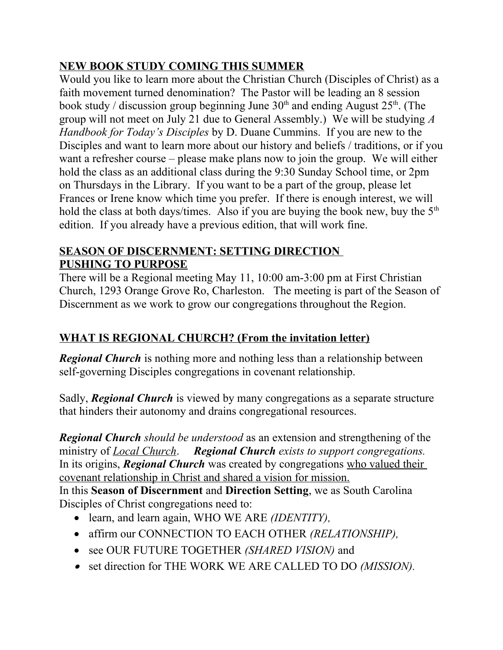# **NEW BOOK STUDY COMING THIS SUMMER**

Would you like to learn more about the Christian Church (Disciples of Christ) as a faith movement turned denomination? The Pastor will be leading an 8 session book study / discussion group beginning June  $30<sup>th</sup>$  and ending August  $25<sup>th</sup>$ . (The group will not meet on July 21 due to General Assembly.) We will be studying *A Handbook for Today's Disciples* by D. Duane Cummins. If you are new to the Disciples and want to learn more about our history and beliefs / traditions, or if you want a refresher course – please make plans now to join the group. We will either hold the class as an additional class during the 9:30 Sunday School time, or 2pm on Thursdays in the Library. If you want to be a part of the group, please let Frances or Irene know which time you prefer. If there is enough interest, we will hold the class at both days/times. Also if you are buying the book new, buy the  $5<sup>th</sup>$ edition. If you already have a previous edition, that will work fine.

### **SEASON OF DISCERNMENT: SETTING DIRECTION PUSHING TO PURPOSE**

There will be a Regional meeting May 11, 10:00 am-3:00 pm at First Christian Church, 1293 Orange Grove Ro, Charleston. The meeting is part of the Season of Discernment as we work to grow our congregations throughout the Region.

# **WHAT IS REGIONAL CHURCH? (From the invitation letter)**

*Regional Church* is nothing more and nothing less than a relationship between self-governing Disciples congregations in covenant relationship.

Sadly, *Regional Church* is viewed by many congregations as a separate structure that hinders their autonomy and drains congregational resources.

*Regional Church should be understood* as an extension and strengthening of the ministry of *Local Church*. *Regional Church exists to support congregations.*  In its origins, *Regional Church* was created by congregations who valued their covenant relationship in Christ and shared a vision for mission.

In this **Season of Discernment** and **Direction Setting**, we as South Carolina Disciples of Christ congregations need to:

- learn, and learn again, WHO WE ARE *(IDENTITY),*
- affirm our CONNECTION TO EACH OTHER *(RELATIONSHIP),*
- see OUR FUTURE TOGETHER *(SHARED VISION)* and
- set direction for THE WORK WE ARE CALLED TO DO *(MISSION).*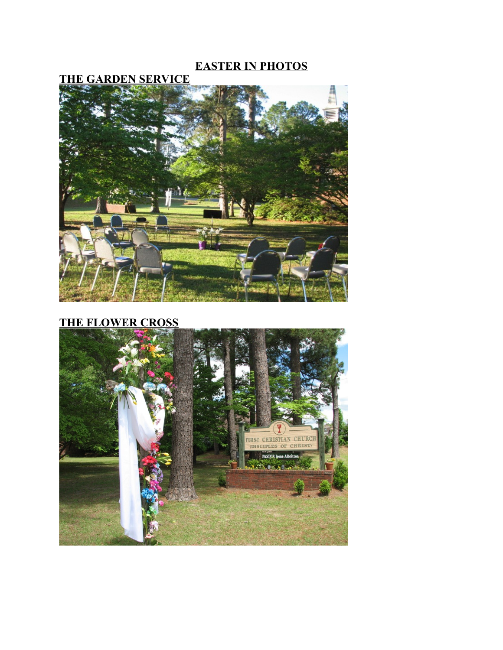# **EASTER IN PHOTOS**



**THE FLOWER CROSS**

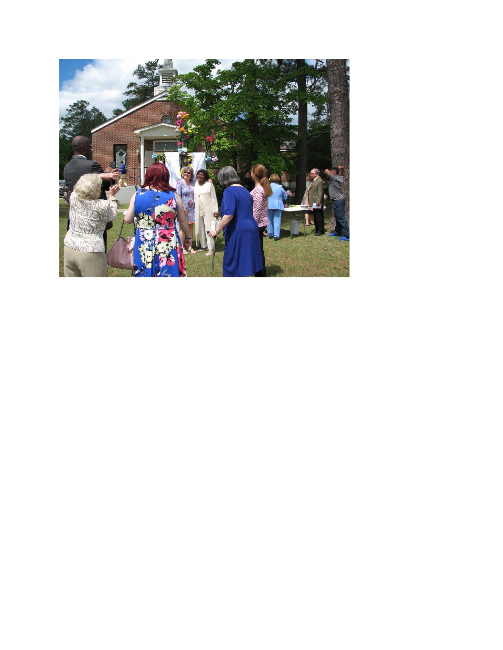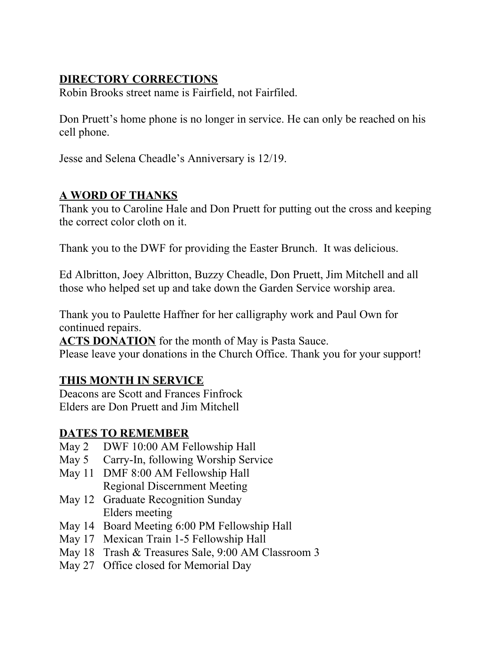# **DIRECTORY CORRECTIONS**

Robin Brooks street name is Fairfield, not Fairfiled.

Don Pruett's home phone is no longer in service. He can only be reached on his cell phone.

Jesse and Selena Cheadle's Anniversary is 12/19.

## **A WORD OF THANKS**

Thank you to Caroline Hale and Don Pruett for putting out the cross and keeping the correct color cloth on it.

Thank you to the DWF for providing the Easter Brunch. It was delicious.

Ed Albritton, Joey Albritton, Buzzy Cheadle, Don Pruett, Jim Mitchell and all those who helped set up and take down the Garden Service worship area.

Thank you to Paulette Haffner for her calligraphy work and Paul Own for continued repairs.

**ACTS DONATION** for the month of May is Pasta Sauce.

Please leave your donations in the Church Office. Thank you for your support!

# **THIS MONTH IN SERVICE**

Deacons are Scott and Frances Finfrock Elders are Don Pruett and Jim Mitchell

## **DATES TO REMEMBER**

- May 2 DWF 10:00 AM Fellowship Hall
- May 5 Carry-In, following Worship Service
- May 11 DMF 8:00 AM Fellowship Hall Regional Discernment Meeting
- May 12 Graduate Recognition Sunday Elders meeting
- May 14 Board Meeting 6:00 PM Fellowship Hall
- May 17 Mexican Train 1-5 Fellowship Hall
- May 18 Trash & Treasures Sale, 9:00 AM Classroom 3
- May 27 Office closed for Memorial Day